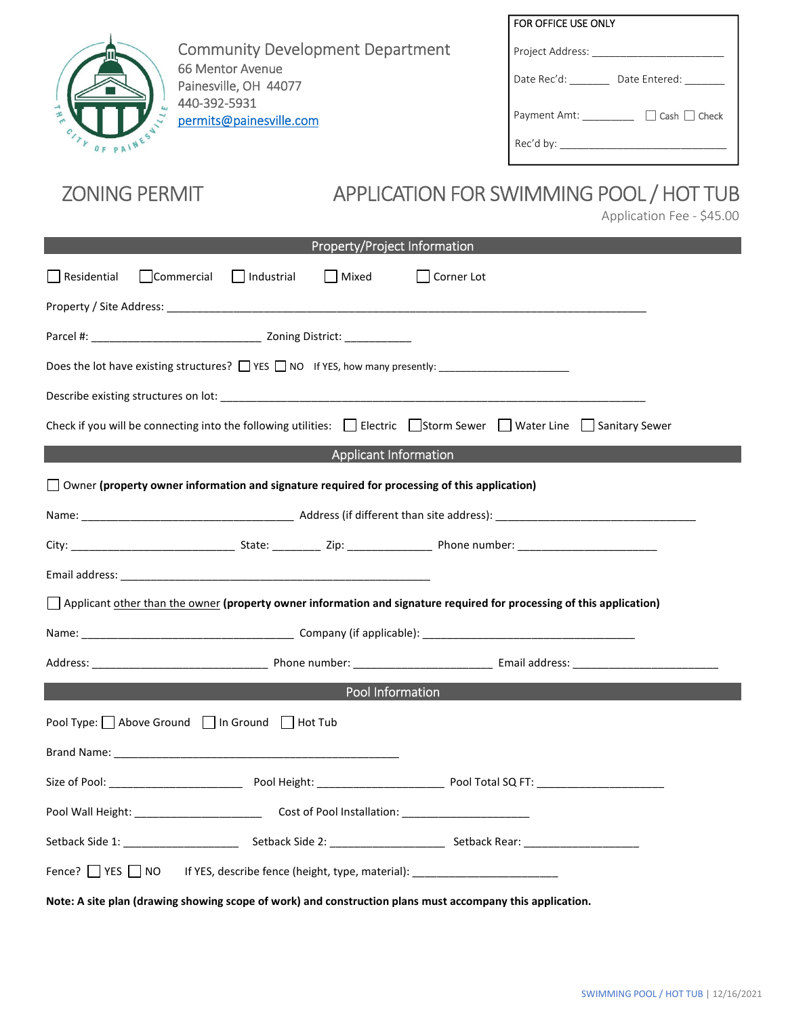

Community Development Department 66 Mentor Avenue Painesville, OH 44077 440-392-5931 permits@painesville.com

| FOR OFFICE USE ONLY                      |
|------------------------------------------|
| Project Address:                         |
| Date Rec'd:<br>Date Entered:             |
| $\Box$ Cash $\Box$ Check<br>Payment Amt: |
| Rec'd by: ____                           |

# ZONING PERMIT APPLICATION FOR SWIMMING POOL / HOT TUB

Application Fee - \$45.00

| Property/Project Information                                                                                                                                                                                                   |  |  |  |
|--------------------------------------------------------------------------------------------------------------------------------------------------------------------------------------------------------------------------------|--|--|--|
| $\Box$ Residential<br>Commercial<br>  Industrial<br>Mixed<br>  Corner Lot                                                                                                                                                      |  |  |  |
|                                                                                                                                                                                                                                |  |  |  |
|                                                                                                                                                                                                                                |  |  |  |
| Does the lot have existing structures? □ YES □ NO If YES, how many presently: _____________________                                                                                                                            |  |  |  |
|                                                                                                                                                                                                                                |  |  |  |
| Check if you will be connecting into the following utilities: $\Box$ Electric $\Box$ Storm Sewer $\Box$ Water Line $\Box$ Sanitary Sewer                                                                                       |  |  |  |
| <b>Applicant Information</b>                                                                                                                                                                                                   |  |  |  |
| $\Box$ Owner (property owner information and signature required for processing of this application)                                                                                                                            |  |  |  |
|                                                                                                                                                                                                                                |  |  |  |
|                                                                                                                                                                                                                                |  |  |  |
|                                                                                                                                                                                                                                |  |  |  |
| Applicant other than the owner (property owner information and signature required for processing of this application)                                                                                                          |  |  |  |
|                                                                                                                                                                                                                                |  |  |  |
|                                                                                                                                                                                                                                |  |  |  |
| Pool Information                                                                                                                                                                                                               |  |  |  |
| Pool Type: Above Ground In Ground Hot Tub                                                                                                                                                                                      |  |  |  |
| Brand Name: The Commission of the Commission of the Commission of the Commission of the Commission of the Commission of the Commission of the Commission of the Commission of the Commission of the Commission of the Commissi |  |  |  |
|                                                                                                                                                                                                                                |  |  |  |
|                                                                                                                                                                                                                                |  |  |  |
| Setback Side 1: Setback Side 2: Setback Side 2: Setback Rear: Setback Rear:                                                                                                                                                    |  |  |  |
| Fence? VES NO If YES, describe fence (height, type, material): VES NO IF YES, describe fence (height, type, material):                                                                                                         |  |  |  |
| Note: A site plan (drawing showing scope of work) and construction plans must accompany this application.                                                                                                                      |  |  |  |